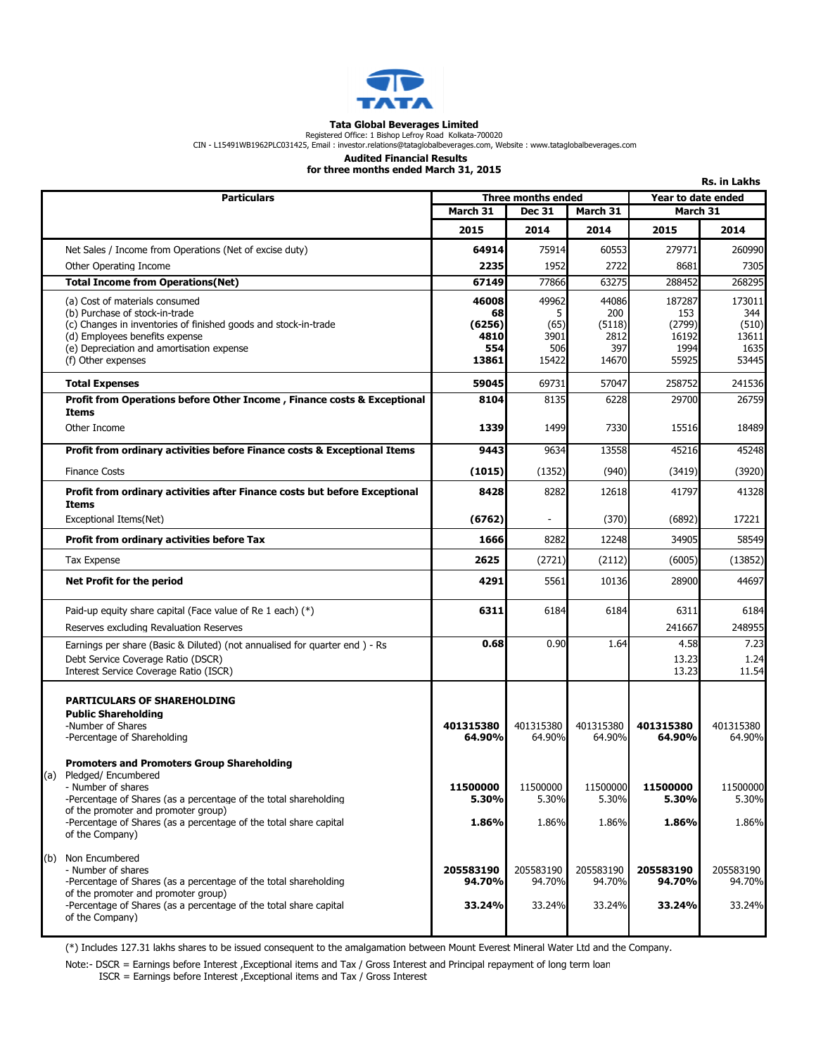

### Tata Global Beverages Limited

Registered Office: 1 Bishop Lefroy Road Kolkata-700020<br>CIN - L15491WB1962PLC031425, Email : investor.relations@tataglobalbeverages.com, Website : www.tataglobalbeverages.com

### Audited Financial Results

for three months ended March 31, 2015

|                                                                                                         |                     |                                       |                |                 | Rs. in Lakhs       |  |
|---------------------------------------------------------------------------------------------------------|---------------------|---------------------------------------|----------------|-----------------|--------------------|--|
| <b>Particulars</b>                                                                                      |                     | Three months ended                    |                |                 | Year to date ended |  |
|                                                                                                         |                     | March 31<br><b>Dec 31</b><br>March 31 |                | March 31        |                    |  |
|                                                                                                         | 2015                | 2014                                  | 2014           | 2015            | 2014               |  |
| Net Sales / Income from Operations (Net of excise duty)                                                 | 64914               | 75914                                 | 60553          | 279771          | 260990             |  |
| Other Operating Income                                                                                  | 2235                | 1952                                  | 2722           | 8681            | 7305               |  |
| <b>Total Income from Operations (Net)</b>                                                               | 67149               | 77866                                 | 63275          | 288452          | 268295             |  |
| (a) Cost of materials consumed                                                                          | 46008               | 49962                                 | 44086          | 187287          | 173011             |  |
| (b) Purchase of stock-in-trade                                                                          | 68                  | 5                                     | 200            | 153             | 344                |  |
| (c) Changes in inventories of finished goods and stock-in-trade<br>(d) Employees benefits expense       | (6256)<br>4810      | (65)<br>3901                          | (5118)<br>2812 | (2799)<br>16192 | (510)<br>13611     |  |
| (e) Depreciation and amortisation expense                                                               | 554                 | 506                                   | 397            | 1994            | 1635               |  |
| (f) Other expenses                                                                                      | 13861               | 15422                                 | 14670          | 55925           | 53445              |  |
| <b>Total Expenses</b>                                                                                   | 59045               | 69731                                 | 57047          | 258752          | 241536             |  |
| Profit from Operations before Other Income, Finance costs & Exceptional<br><b>Items</b>                 | 8104                | 8135                                  | 6228           | 29700           | 26759              |  |
| Other Income                                                                                            | 1339                | 1499                                  | 7330           | 15516           | 18489              |  |
| Profit from ordinary activities before Finance costs & Exceptional Items                                | 9443                | 9634                                  | 13558          | 45216           | 45248              |  |
| <b>Finance Costs</b>                                                                                    | (1015)              | (1352)                                | (940)          | (3419)          | (3920)             |  |
| Profit from ordinary activities after Finance costs but before Exceptional<br><b>Items</b>              | 8428                | 8282                                  | 12618          | 41797           | 41328              |  |
| Exceptional Items(Net)                                                                                  | (6762)              | $\blacksquare$                        | (370)          | (6892)          | 17221              |  |
| <b>Profit from ordinary activities before Tax</b>                                                       | 1666                | 8282                                  | 12248          | 34905           | 58549              |  |
| <b>Tax Expense</b>                                                                                      | 2625                | (2721)                                | (2112)         | (6005)          | (13852)            |  |
| Net Profit for the period                                                                               | 4291                | 5561                                  | 10136          | 28900           | 44697              |  |
| Paid-up equity share capital (Face value of Re 1 each) $(*)$                                            | 6311                | 6184                                  | 6184           | 6311            | 6184               |  |
| Reserves excluding Revaluation Reserves                                                                 |                     |                                       |                | 241667          | 248955             |  |
| Earnings per share (Basic & Diluted) (not annualised for quarter end) - Rs                              | 0.68                | 0.90                                  | 1.64           | 4.58            | 7.23               |  |
| Debt Service Coverage Ratio (DSCR)                                                                      |                     |                                       |                | 13.23           | 1.24               |  |
| Interest Service Coverage Ratio (ISCR)                                                                  |                     |                                       |                | 13.23           | 11.54              |  |
| <b>PARTICULARS OF SHAREHOLDING</b>                                                                      |                     |                                       |                |                 |                    |  |
| <b>Public Shareholding</b>                                                                              |                     |                                       |                |                 |                    |  |
| -Number of Shares                                                                                       | 401315380           | 401315380                             | 401315380      | 401315380       | 401315380          |  |
| -Percentage of Shareholding                                                                             | 64.90%              | 64.90%                                | 64.90%         | 64.90%          | 64.90%             |  |
| <b>Promoters and Promoters Group Shareholding</b>                                                       |                     |                                       |                |                 |                    |  |
| Pledged/ Encumbered<br>(a)<br>- Number of shares                                                        | 11500000            | 11500000                              | 11500000       | 11500000        | 11500000           |  |
| -Percentage of Shares (as a percentage of the total shareholding                                        | 5.30%               | 5.30%                                 | 5.30%          | 5.30%           | 5.30%              |  |
| of the promoter and promoter group)                                                                     |                     |                                       |                |                 |                    |  |
| -Percentage of Shares (as a percentage of the total share capital<br>of the Company)                    | 1.86%               | 1.86%                                 | 1.86%          | 1.86%           | 1.86%              |  |
| Non Encumbered<br>(b)                                                                                   |                     |                                       |                |                 |                    |  |
| - Number of shares                                                                                      | 205583190<br>94.70% | 205583190                             | 205583190      | 205583190       | 205583190          |  |
| -Percentage of Shares (as a percentage of the total shareholding<br>of the promoter and promoter group) |                     | 94.70%                                | 94.70%         | 94.70%          | 94.70%             |  |
| -Percentage of Shares (as a percentage of the total share capital                                       | 33.24%              | 33.24%                                | 33.24%         | 33.24%          | 33.24%             |  |
| of the Company)                                                                                         |                     |                                       |                |                 |                    |  |
|                                                                                                         |                     |                                       |                |                 |                    |  |

(\*) Includes 127.31 lakhs shares to be issued consequent to the amalgamation between Mount Everest Mineral Water Ltd and the Company.

Note:- DSCR = Earnings before Interest ,Exceptional items and Tax / Gross Interest and Principal repayment of long term loan

ISCR = Earnings before Interest ,Exceptional items and Tax / Gross Interest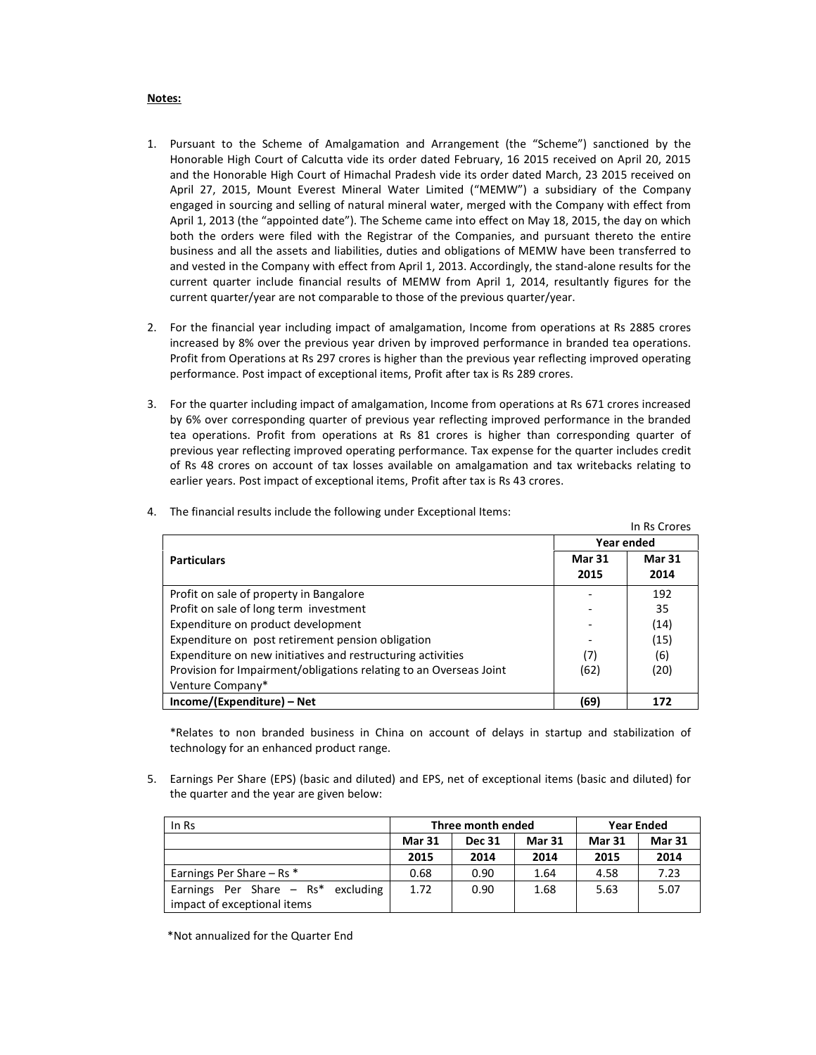#### Notes:

- 1. Pursuant to the Scheme of Amalgamation and Arrangement (the "Scheme") sanctioned by the Honorable High Court of Calcutta vide its order dated February, 16 2015 received on April 20, 2015 and the Honorable High Court of Himachal Pradesh vide its order dated March, 23 2015 received on April 27, 2015, Mount Everest Mineral Water Limited ("MEMW") a subsidiary of the Company engaged in sourcing and selling of natural mineral water, merged with the Company with effect from April 1, 2013 (the "appointed date"). The Scheme came into effect on May 18, 2015, the day on which both the orders were filed with the Registrar of the Companies, and pursuant thereto the entire business and all the assets and liabilities, duties and obligations of MEMW have been transferred to and vested in the Company with effect from April 1, 2013. Accordingly, the stand-alone results for the current quarter include financial results of MEMW from April 1, 2014, resultantly figures for the current quarter/year are not comparable to those of the previous quarter/year.
- 2. For the financial year including impact of amalgamation, Income from operations at Rs 2885 crores increased by 8% over the previous year driven by improved performance in branded tea operations. Profit from Operations at Rs 297 crores is higher than the previous year reflecting improved operating performance. Post impact of exceptional items, Profit after tax is Rs 289 crores.
- 3. For the quarter including impact of amalgamation, Income from operations at Rs 671 crores increased by 6% over corresponding quarter of previous year reflecting improved performance in the branded tea operations. Profit from operations at Rs 81 crores is higher than corresponding quarter of previous year reflecting improved operating performance. Tax expense for the quarter includes credit of Rs 48 crores on account of tax losses available on amalgamation and tax writebacks relating to earlier years. Post impact of exceptional items, Profit after tax is Rs 43 crores.

|                                                                    |                       | In Rs Crores          |  |
|--------------------------------------------------------------------|-----------------------|-----------------------|--|
|                                                                    | Year ended            |                       |  |
| <b>Particulars</b>                                                 | <b>Mar 31</b><br>2015 | <b>Mar 31</b><br>2014 |  |
|                                                                    |                       |                       |  |
| Profit on sale of property in Bangalore                            |                       | 192                   |  |
| Profit on sale of long term investment                             |                       | 35                    |  |
| Expenditure on product development                                 |                       | (14)                  |  |
| Expenditure on post retirement pension obligation                  |                       | (15)                  |  |
| Expenditure on new initiatives and restructuring activities        | (7)                   | (6)                   |  |
| Provision for Impairment/obligations relating to an Overseas Joint | (62)                  | (20)                  |  |
| Venture Company*                                                   |                       |                       |  |
| Income/(Expenditure) – Net                                         | (69)                  | 172                   |  |

4. The financial results include the following under Exceptional Items:

\*Relates to non branded business in China on account of delays in startup and stabilization of technology for an enhanced product range.

5. Earnings Per Share (EPS) (basic and diluted) and EPS, net of exceptional items (basic and diluted) for the quarter and the year are given below:

| In Rs                                | Three month ended |               |               | <b>Year Ended</b> |               |  |
|--------------------------------------|-------------------|---------------|---------------|-------------------|---------------|--|
|                                      | <b>Mar 31</b>     | <b>Dec 31</b> | <b>Mar 31</b> | <b>Mar 31</b>     | <b>Mar 31</b> |  |
|                                      | 2015              | 2014          | 2014          | 2015              | 2014          |  |
| Earnings Per Share - Rs *            | 0.68              | 0.90          | 1.64          | 4.58              | 7.23          |  |
| Earnings Per Share $-$ Rs* excluding | 1.72              | 0.90          | 1.68          | 5.63              | 5.07          |  |
| impact of exceptional items          |                   |               |               |                   |               |  |

\*Not annualized for the Quarter End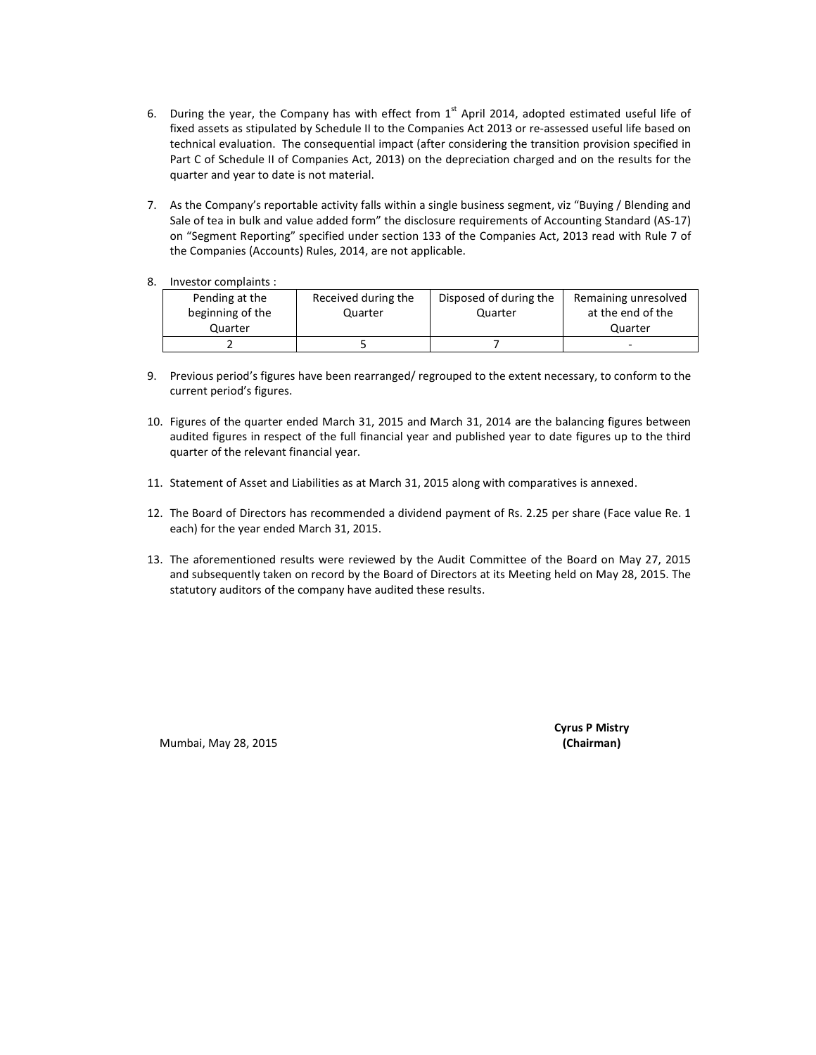- 6. During the year, the Company has with effect from  $1<sup>st</sup>$  April 2014, adopted estimated useful life of fixed assets as stipulated by Schedule II to the Companies Act 2013 or re-assessed useful life based on technical evaluation. The consequential impact (after considering the transition provision specified in Part C of Schedule II of Companies Act, 2013) on the depreciation charged and on the results for the quarter and year to date is not material.
- 7. As the Company's reportable activity falls within a single business segment, viz "Buying / Blending and Sale of tea in bulk and value added form" the disclosure requirements of Accounting Standard (AS-17) on "Segment Reporting" specified under section 133 of the Companies Act, 2013 read with Rule 7 of the Companies (Accounts) Rules, 2014, are not applicable.
- 8. Investor complaints :

| Pending at the   | Received during the | Disposed of during the | Remaining unresolved |
|------------------|---------------------|------------------------|----------------------|
| beginning of the | Quarter             | Quarter                | at the end of the    |
| Quarter          |                     |                        | Quarter              |
|                  |                     |                        | -                    |

- 9. Previous period's figures have been rearranged/ regrouped to the extent necessary, to conform to the current period's figures.
- 10. Figures of the quarter ended March 31, 2015 and March 31, 2014 are the balancing figures between audited figures in respect of the full financial year and published year to date figures up to the third quarter of the relevant financial year.
- 11. Statement of Asset and Liabilities as at March 31, 2015 along with comparatives is annexed.
- 12. The Board of Directors has recommended a dividend payment of Rs. 2.25 per share (Face value Re. 1 each) for the year ended March 31, 2015.
- 13. The aforementioned results were reviewed by the Audit Committee of the Board on May 27, 2015 and subsequently taken on record by the Board of Directors at its Meeting held on May 28, 2015. The statutory auditors of the company have audited these results.

Mumbai, May 28, 2015 (Chairman)

Cyrus P Mistry